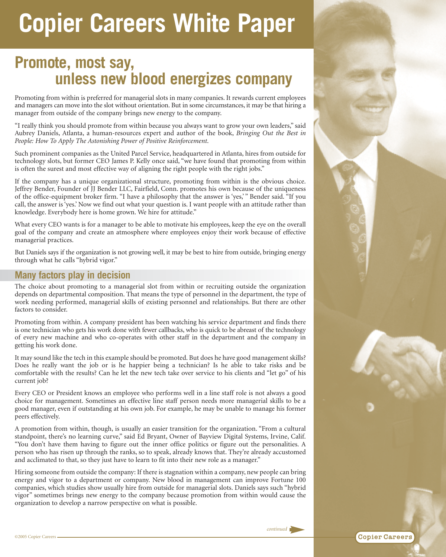## **Copier Careers White Paper**

## **Promote, most say, unless new blood energizes company**

Promoting from within is preferred for managerial slots in many companies. It rewards current employees and managers can move into the slot without orientation. But in some circumstances, it may be that hiring a manager from outside of the company brings new energy to the company.

"I really think you should promote from within because you always want to grow your own leaders," said Aubrey Daniels, Atlanta, a human-resources expert and author of the book, *Bringing Out the Best in People: How To Apply The Astonishing Power of Positive Reinforcement*.

Such prominent companies as the United Parcel Service, headquartered in Atlanta, hires from outside for technology slots, but former CEO James P. Kelly once said, "we have found that promoting from within is often the surest and most effective way of aligning the right people with the right jobs."

If the company has a unique organizational structure, promoting from within is the obvious choice. Jeffrey Bender, Founder of JJ Bender LLC, Fairfield, Conn. promotes his own because of the uniqueness of the office-equipment broker firm. "I have a philosophy that the answer is 'yes,' " Bender said. "If you call, the answer is 'yes.' Now we find out what your question is. I want people with an attitude rather than knowledge. Everybody here is home grown. We hire for attitude."

What every CEO wants is for a manager to be able to motivate his employees, keep the eye on the overall goal of the company and create an atmosphere where employees enjoy their work because of effective managerial practices.

But Daniels says if the organization is not growing well, it may be best to hire from outside, bringing energy through what he calls "hybrid vigor."

## **Many factors play in decision**

The choice about promoting to a managerial slot from within or recruiting outside the organization depends on departmental composition. That means the type of personnel in the department, the type of work needing performed, managerial skills of existing personnel and relationships. But there are other factors to consider.

Promoting from within. A company president has been watching his service department and finds there is one technician who gets his work done with fewer callbacks, who is quick to be abreast of the technology of every new machine and who co-operates with other staff in the department and the company in getting his work done.

It may sound like the tech in this example should be promoted. But does he have good management skills? Does he really want the job or is he happier being a technician? Is he able to take risks and be comfortable with the results? Can he let the new tech take over service to his clients and "let go" of his current job?

Every CEO or President knows an employee who performs well in a line staff role is not always a good choice for management. Sometimes an effective line staff person needs more managerial skills to be a good manager, even if outstanding at his own job. For example, he may be unable to manage his former peers effectively.

A promotion from within, though, is usually an easier transition for the organization. "From a cultural standpoint, there's no learning curve," said Ed Bryant, Owner of Bayview Digital Systems, Irvine, Calif. "You don't have them having to figure out the inner office politics or figure out the personalities. A person who has risen up through the ranks, so to speak, already knows that. They're already accustomed and acclimated to that, so they just have to learn to fit into their new role as a manager."

Hiring someone from outside the company: If there is stagnation within a company, new people can bring energy and vigor to a department or company. New blood in management can improve Fortune 100 companies, which studies show usually hire from outside for managerial slots. Daniels says such "hybrid vigor" sometimes brings new energy to the company because promotion from within would cause the organization to develop a narrow perspective on what is possible.



*continued*